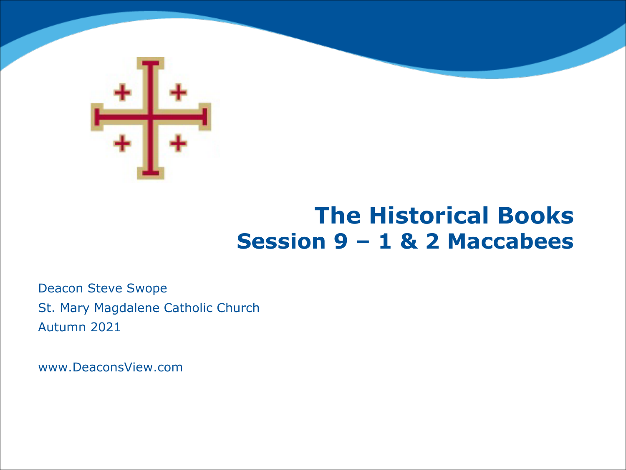

### **The Historical Books Session 9 – 1 & 2 Maccabees**

Deacon Steve Swope St. Mary Magdalene Catholic Church Autumn 2021

www.DeaconsView.com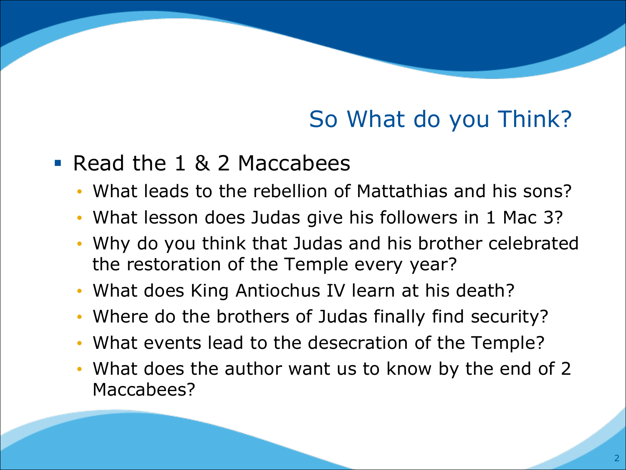# So What do you Think?

#### ■ Read the 1 & 2 Maccabees

- What leads to the rebellion of Mattathias and his sons?
- What lesson does Judas give his followers in 1 Mac 3?
- Why do you think that Judas and his brother celebrated the restoration of the Temple every year?
- What does King Antiochus IV learn at his death?
- Where do the brothers of Judas finally find security?
- What events lead to the desecration of the Temple?
- What does the author want us to know by the end of 2 Maccabees?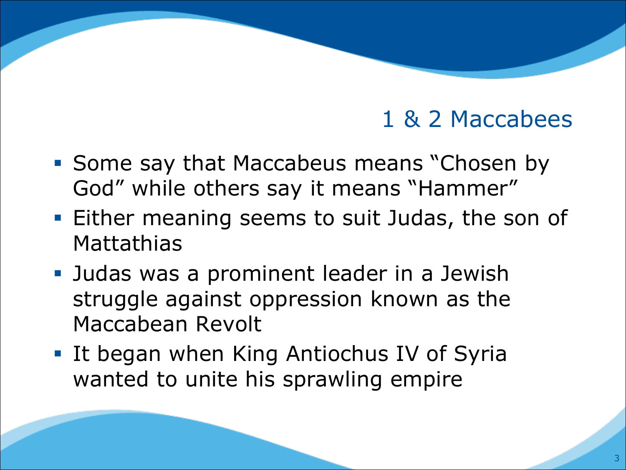- Some say that Maccabeus means "Chosen by God" while others say it means "Hammer"
- Either meaning seems to suit Judas, the son of **Mattathias**
- Judas was a prominent leader in a Jewish struggle against oppression known as the Maccabean Revolt
- It began when King Antiochus IV of Syria wanted to unite his sprawling empire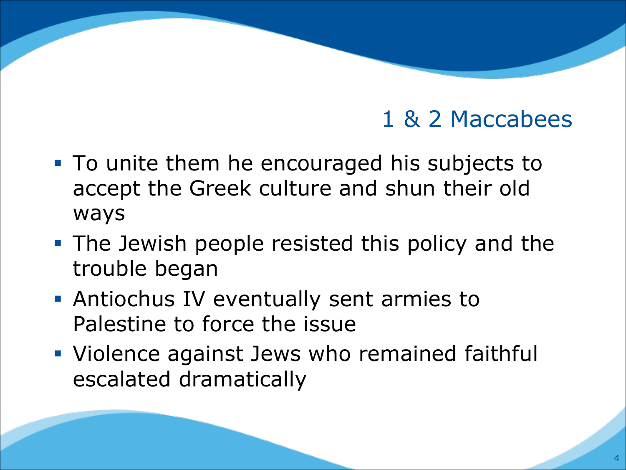- To unite them he encouraged his subjects to accept the Greek culture and shun their old ways
- The Jewish people resisted this policy and the trouble began
- Antiochus IV eventually sent armies to Palestine to force the issue
- Violence against Jews who remained faithful escalated dramatically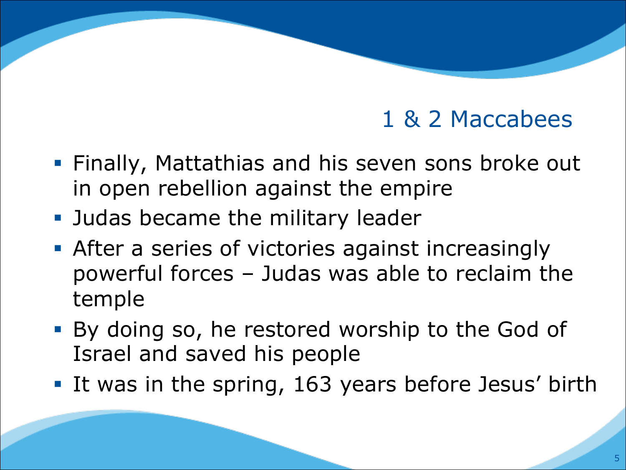- Finally, Mattathias and his seven sons broke out in open rebellion against the empire
- Judas became the military leader
- **After a series of victories against increasingly** powerful forces – Judas was able to reclaim the temple
- By doing so, he restored worship to the God of Israel and saved his people
- It was in the spring, 163 years before Jesus' birth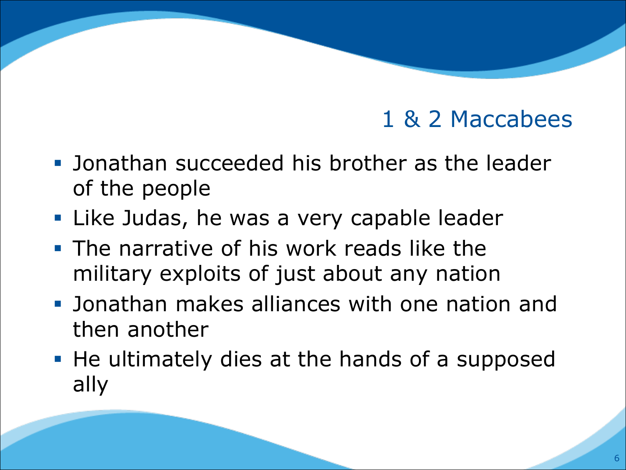- Jonathan succeeded his brother as the leader of the people
- Like Judas, he was a very capable leader
- **The narrative of his work reads like the** military exploits of just about any nation
- § Jonathan makes alliances with one nation and then another
- He ultimately dies at the hands of a supposed ally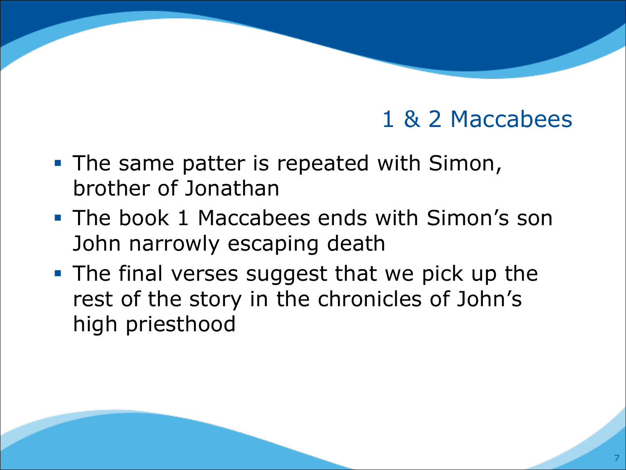- The same patter is repeated with Simon, brother of Jonathan
- The book 1 Maccabees ends with Simon's son John narrowly escaping death
- The final verses suggest that we pick up the rest of the story in the chronicles of John's high priesthood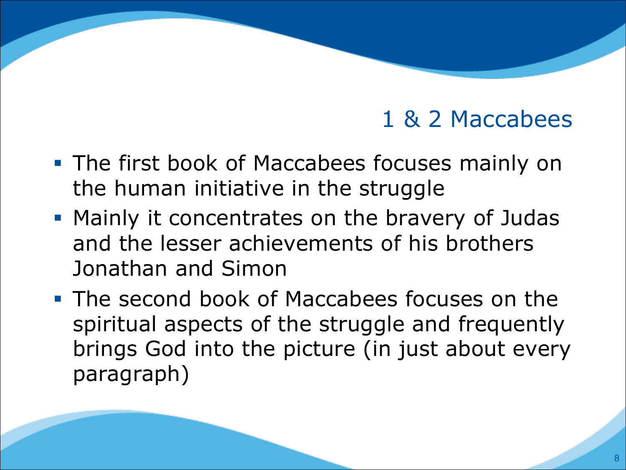- The first book of Maccabees focuses mainly on the human initiative in the struggle
- § Mainly it concentrates on the bravery of Judas and the lesser achievements of his brothers Jonathan and Simon
- The second book of Maccabees focuses on the spiritual aspects of the struggle and frequently brings God into the picture (in just about every paragraph)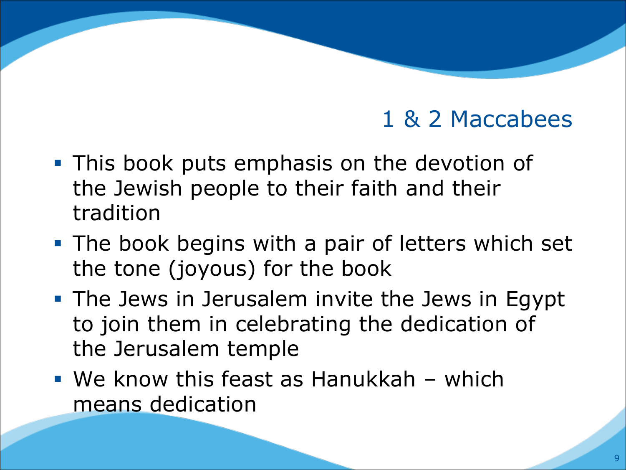- **This book puts emphasis on the devotion of** the Jewish people to their faith and their tradition
- The book begins with a pair of letters which set the tone (joyous) for the book
- **The Jews in Jerusalem invite the Jews in Egypt** to join them in celebrating the dedication of the Jerusalem temple
- $\blacksquare$  We know this feast as Hanukkah which means dedication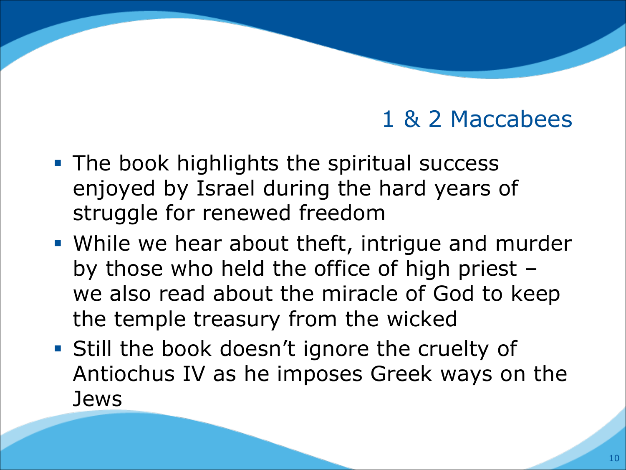- The book highlights the spiritual success enjoyed by Israel during the hard years of struggle for renewed freedom
- While we hear about theft, intrigue and murder by those who held the office of high priest – we also read about the miracle of God to keep the temple treasury from the wicked
- Still the book doesn't ignore the cruelty of Antiochus IV as he imposes Greek ways on the Jews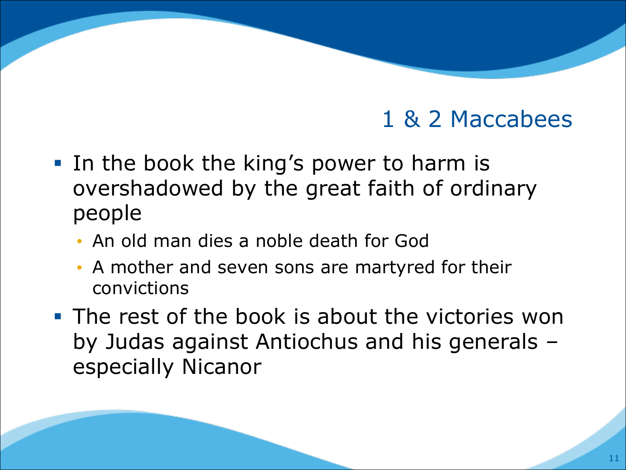- In the book the king's power to harm is overshadowed by the great faith of ordinary people
	- An old man dies a noble death for God
	- A mother and seven sons are martyred for their convictions
- The rest of the book is about the victories won by Judas against Antiochus and his generals – especially Nicanor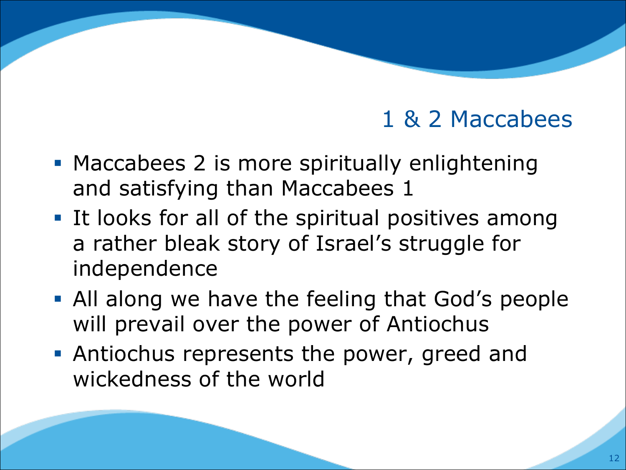- Maccabees 2 is more spiritually enlightening and satisfying than Maccabees 1
- It looks for all of the spiritual positives among a rather bleak story of Israel's struggle for independence
- All along we have the feeling that God's people will prevail over the power of Antiochus
- **Antiochus represents the power, greed and** wickedness of the world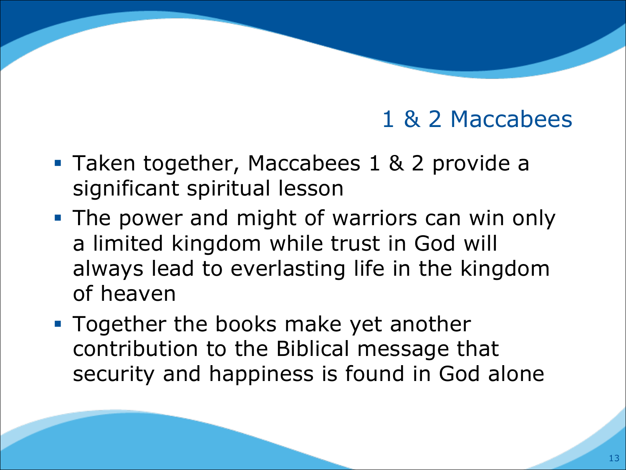- Taken together, Maccabees 1 & 2 provide a significant spiritual lesson
- The power and might of warriors can win only a limited kingdom while trust in God will always lead to everlasting life in the kingdom of heaven
- Together the books make yet another contribution to the Biblical message that security and happiness is found in God alone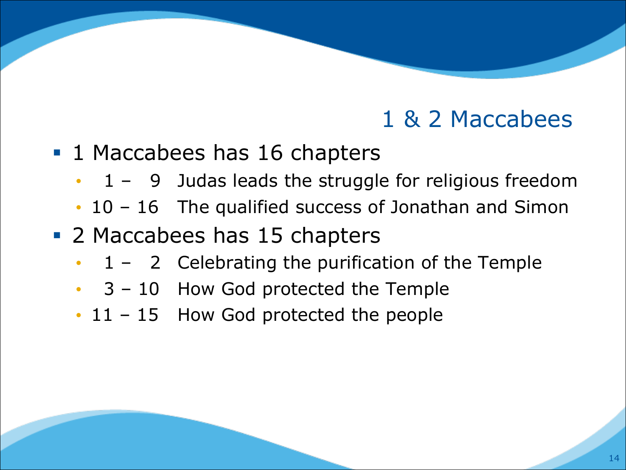- 1 Maccabees has 16 chapters
	- 1 9 Judas leads the struggle for religious freedom
	- 10 16 The qualified success of Jonathan and Simon
- 2 Maccabees has 15 chapters
	- $1 2$  Celebrating the purification of the Temple
	- 3 10 How God protected the Temple
	- 11 15 How God protected the people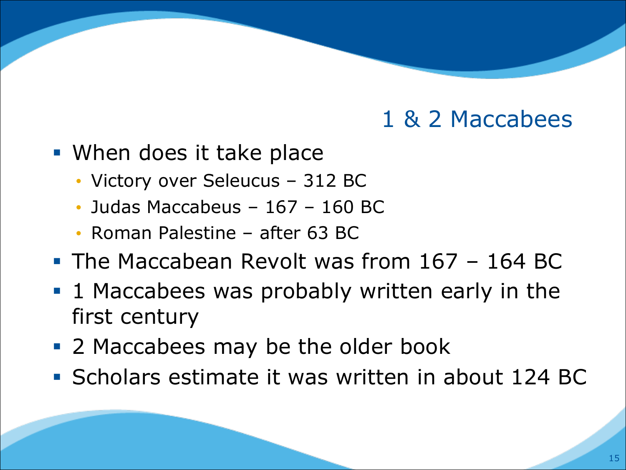- When does it take place
	- Victory over Seleucus 312 BC
	- Judas Maccabeus 167 160 BC
	- Roman Palestine after 63 BC
- The Maccabean Revolt was from 167 164 BC
- 1 Maccabees was probably written early in the first century
- 2 Maccabees may be the older book
- § Scholars estimate it was written in about 124 BC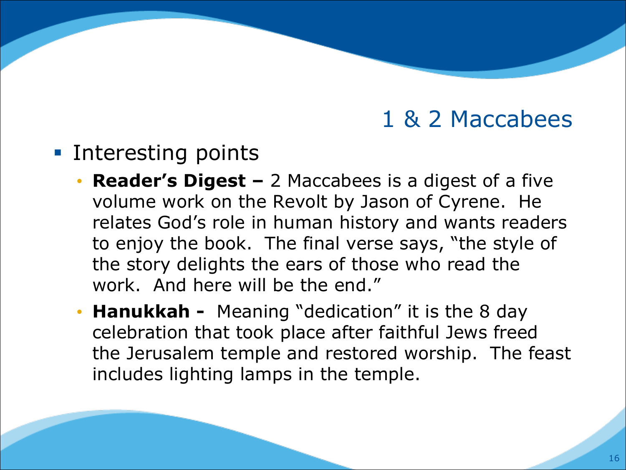- Interesting points
	- **Reader's Digest –** 2 Maccabees is a digest of a five volume work on the Revolt by Jason of Cyrene. He relates God's role in human history and wants readers to enjoy the book. The final verse says, "the style of the story delights the ears of those who read the work. And here will be the end."
	- **Hanukkah -** Meaning "dedication" it is the 8 day celebration that took place after faithful Jews freed the Jerusalem temple and restored worship. The feast includes lighting lamps in the temple.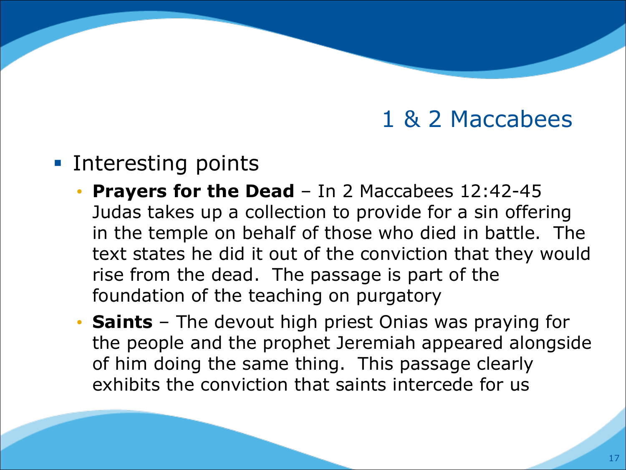#### ■ Interesting points

- **Prayers for the Dead**  In 2 Maccabees 12:42-45 Judas takes up a collection to provide for a sin offering in the temple on behalf of those who died in battle. The text states he did it out of the conviction that they would rise from the dead. The passage is part of the foundation of the teaching on purgatory
- **Saints**  The devout high priest Onias was praying for the people and the prophet Jeremiah appeared alongside of him doing the same thing. This passage clearly exhibits the conviction that saints intercede for us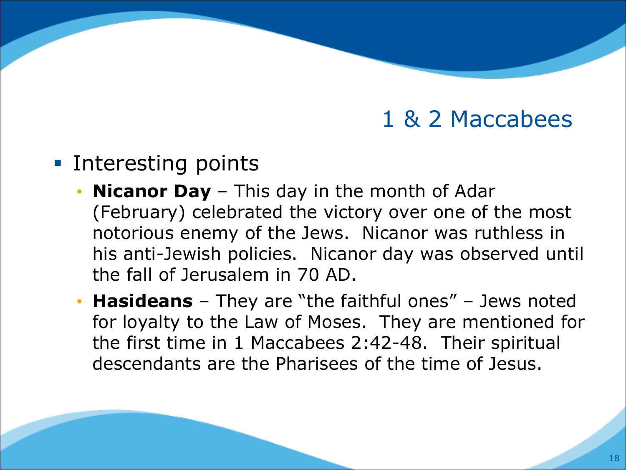- Interesting points
	- **Nicanor Day**  This day in the month of Adar (February) celebrated the victory over one of the most notorious enemy of the Jews. Nicanor was ruthless in his anti-Jewish policies. Nicanor day was observed until the fall of Jerusalem in 70 AD.
	- **Hasideans**  They are "the faithful ones" Jews noted for loyalty to the Law of Moses. They are mentioned for the first time in 1 Maccabees 2:42-48. Their spiritual descendants are the Pharisees of the time of Jesus.